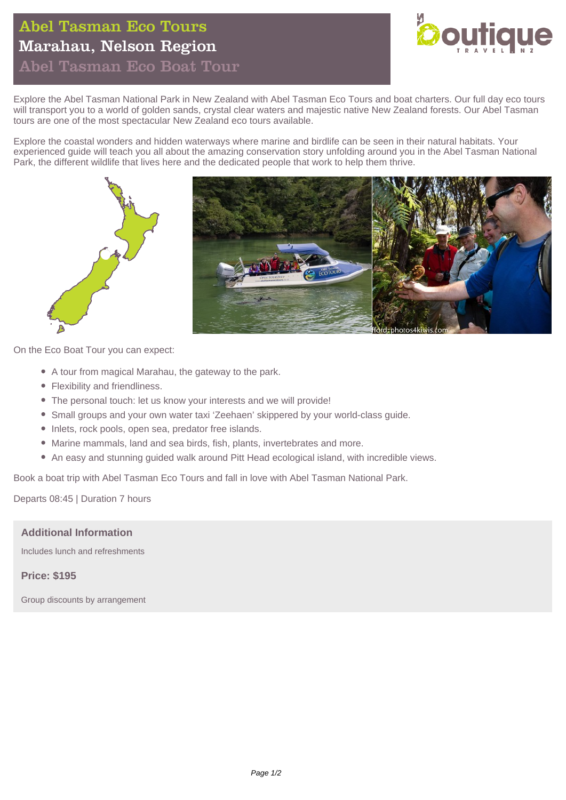# Abel Tasman Eco Tours Marahau, Nelson Region



Abel Tasman Eco Boat Tour

Explore the Abel Tasman National Park in New Zealand with Abel Tasman Eco Tours and boat charters. Our full day eco tours will transport you to a world of golden sands, crystal clear waters and majestic native New Zealand forests. Our Abel Tasman tours are one of the most spectacular New Zealand eco tours available.

Explore the coastal wonders and hidden waterways where marine and birdlife can be seen in their natural habitats. Your experienced guide will teach you all about the amazing conservation story unfolding around you in the Abel Tasman National Park, the different wildlife that lives here and the dedicated people that work to help them thrive.



On the Eco Boat Tour you can expect:

- A tour from magical Marahau, the gateway to the park.
- Flexibility and friendliness.
- The personal touch: let us know your interests and we will provide!
- Small groups and your own water taxi 'Zeehaen' skippered by your world-class guide.
- Inlets, rock pools, open sea, predator free islands.
- Marine mammals, land and sea birds, fish, plants, invertebrates and more.
- An easy and stunning guided walk around Pitt Head ecological island, with incredible views.

Book a boat trip with Abel Tasman Eco Tours and fall in love with Abel Tasman National Park.

Departs 08:45 | Duration 7 hours

#### **Additional Information**

Includes lunch and refreshments

#### **Price: \$195**

Group discounts by arrangement